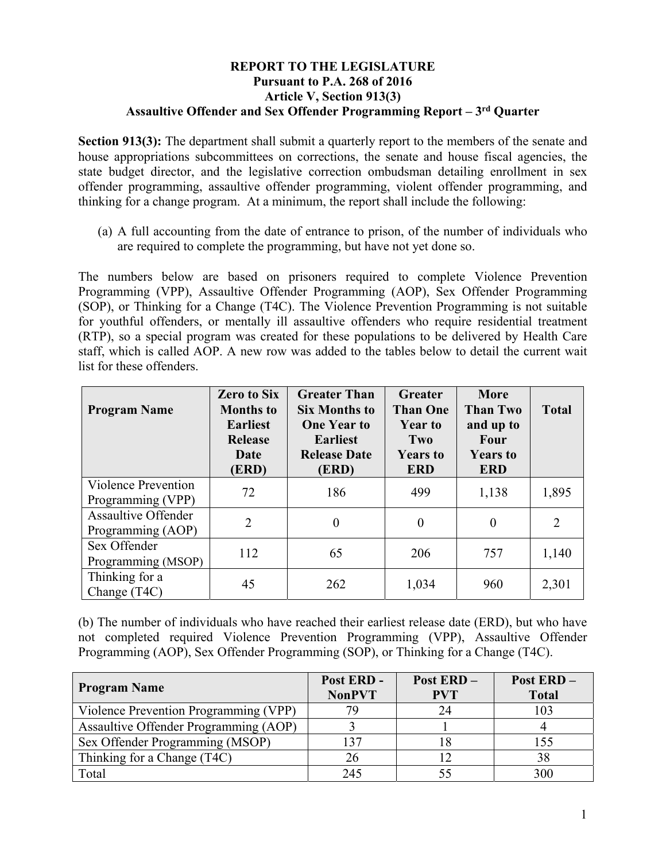## **REPORT TO THE LEGISLATURE Pursuant to P.A. 268 of 2016 Article V, Section 913(3) Assaultive Offender and Sex Offender Programming Report – 3rd Quarter**

**Section 913(3):** The department shall submit a quarterly report to the members of the senate and house appropriations subcommittees on corrections, the senate and house fiscal agencies, the state budget director, and the legislative correction ombudsman detailing enrollment in sex offender programming, assaultive offender programming, violent offender programming, and thinking for a change program. At a minimum, the report shall include the following:

(a) A full accounting from the date of entrance to prison, of the number of individuals who are required to complete the programming, but have not yet done so.

The numbers below are based on prisoners required to complete Violence Prevention Programming (VPP), Assaultive Offender Programming (AOP), Sex Offender Programming (SOP), or Thinking for a Change (T4C). The Violence Prevention Programming is not suitable for youthful offenders, or mentally ill assaultive offenders who require residential treatment (RTP), so a special program was created for these populations to be delivered by Health Care staff, which is called AOP. A new row was added to the tables below to detail the current wait list for these offenders.

| <b>Program Name</b>                             | <b>Zero to Six</b><br><b>Months to</b><br><b>Earliest</b><br><b>Release</b><br>Date<br>(ERD) | <b>Greater Than</b><br><b>Six Months to</b><br><b>One Year to</b><br><b>Earliest</b><br><b>Release Date</b><br>(ERD) | Greater<br><b>Than One</b><br><b>Year to</b><br>Two<br><b>Years to</b><br><b>ERD</b> | <b>More</b><br><b>Than Two</b><br>and up to<br><b>Four</b><br><b>Years to</b><br><b>ERD</b> | <b>Total</b> |
|-------------------------------------------------|----------------------------------------------------------------------------------------------|----------------------------------------------------------------------------------------------------------------------|--------------------------------------------------------------------------------------|---------------------------------------------------------------------------------------------|--------------|
| Violence Prevention<br>Programming (VPP)        | 72                                                                                           | 186                                                                                                                  | 499                                                                                  | 1,138                                                                                       | 1,895        |
| <b>Assaultive Offender</b><br>Programming (AOP) | $\overline{2}$                                                                               | $\theta$                                                                                                             | $\theta$                                                                             | $\theta$                                                                                    | 2            |
| Sex Offender<br>Programming (MSOP)              | 112                                                                                          | 65                                                                                                                   | 206                                                                                  | 757                                                                                         | 1,140        |
| Thinking for a<br>Change (T4C)                  | 45                                                                                           | 262                                                                                                                  | 1,034                                                                                | 960                                                                                         | 2,301        |

(b) The number of individuals who have reached their earliest release date (ERD), but who have not completed required Violence Prevention Programming (VPP), Assaultive Offender Programming (AOP), Sex Offender Programming (SOP), or Thinking for a Change (T4C).

| <b>Program Name</b>                   | Post ERD -<br><b>NonPVT</b> | <b>Post ERD -</b><br><b>PVT</b> | Post ERD-<br><b>Total</b> |
|---------------------------------------|-----------------------------|---------------------------------|---------------------------|
| Violence Prevention Programming (VPP) | 79                          | 24                              | 103                       |
| Assaultive Offender Programming (AOP) |                             |                                 |                           |
| Sex Offender Programming (MSOP)       | 137                         |                                 | 155                       |
| Thinking for a Change (T4C)           | 26                          |                                 | 38                        |
| Total                                 | 245                         |                                 | 300                       |